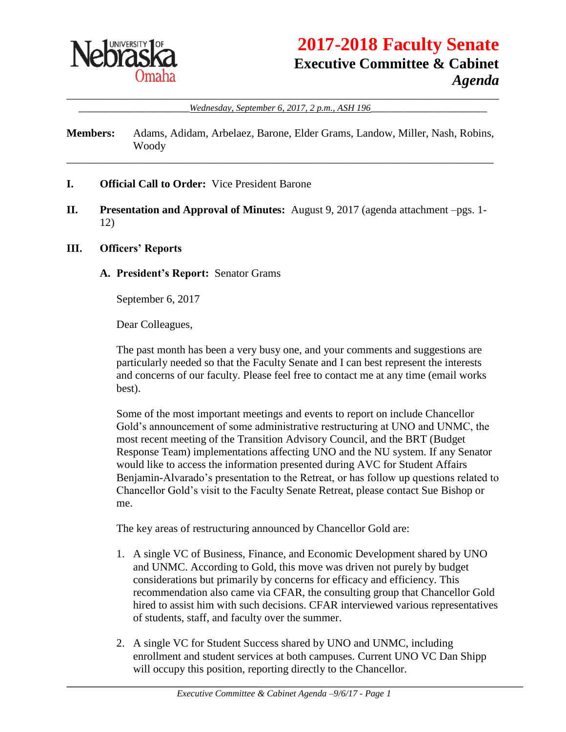

# **2017-2018 Faculty Senate Executive Committee & Cabinet** *Agenda*

\_\_\_\_\_\_\_\_\_\_\_\_\_\_\_\_\_\_\_\_\_\_\_\_\_\_\_\_\_\_\_\_\_\_\_\_\_\_\_\_\_\_\_\_\_\_\_\_\_\_\_\_\_\_\_\_\_\_\_\_\_\_\_\_\_\_\_\_\_\_\_\_\_\_\_\_\_\_ \_\_\_\_\_\_\_\_\_\_\_\_\_\_\_\_\_\_\_\_*Wednesday, September 6, 2017, 2 p.m., ASH 196*\_\_\_\_\_\_\_\_\_\_\_\_\_\_\_\_\_\_\_\_\_

**Members:** Adams, Adidam, Arbelaez, Barone, Elder Grams, Landow, Miller, Nash, Robins, Woody

\_\_\_\_\_\_\_\_\_\_\_\_\_\_\_\_\_\_\_\_\_\_\_\_\_\_\_\_\_\_\_\_\_\_\_\_\_\_\_\_\_\_\_\_\_\_\_\_\_\_\_\_\_\_\_\_\_\_\_\_\_\_\_\_\_\_\_\_\_\_\_\_\_\_\_\_\_

- **I. Official Call to Order:** Vice President Barone
- **II. Presentation and Approval of Minutes:** August 9, 2017 (agenda attachment –pgs. 1- 12)

#### **III. Officers' Reports**

**A. President's Report:** Senator Grams

September 6, 2017

Dear Colleagues,

The past month has been a very busy one, and your comments and suggestions are particularly needed so that the Faculty Senate and I can best represent the interests and concerns of our faculty. Please feel free to contact me at any time (email works best).

Some of the most important meetings and events to report on include Chancellor Gold's announcement of some administrative restructuring at UNO and UNMC, the most recent meeting of the Transition Advisory Council, and the BRT (Budget Response Team) implementations affecting UNO and the NU system. If any Senator would like to access the information presented during AVC for Student Affairs Benjamin-Alvarado's presentation to the Retreat, or has follow up questions related to Chancellor Gold's visit to the Faculty Senate Retreat, please contact Sue Bishop or me.

The key areas of restructuring announced by Chancellor Gold are:

- 1. A single VC of Business, Finance, and Economic Development shared by UNO and UNMC. According to Gold, this move was driven not purely by budget considerations but primarily by concerns for efficacy and efficiency. This recommendation also came via CFAR, the consulting group that Chancellor Gold hired to assist him with such decisions. CFAR interviewed various representatives of students, staff, and faculty over the summer.
- 2. A single VC for Student Success shared by UNO and UNMC, including enrollment and student services at both campuses. Current UNO VC Dan Shipp will occupy this position, reporting directly to the Chancellor.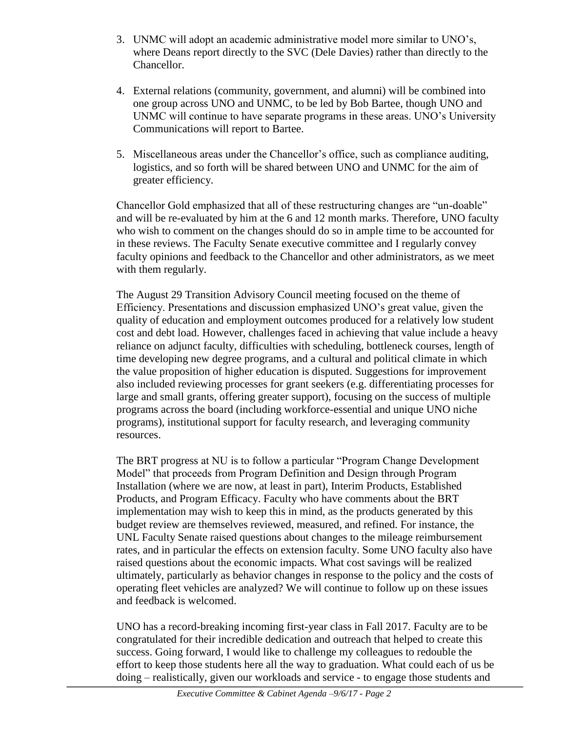- 3. UNMC will adopt an academic administrative model more similar to UNO's, where Deans report directly to the SVC (Dele Davies) rather than directly to the Chancellor.
- 4. External relations (community, government, and alumni) will be combined into one group across UNO and UNMC, to be led by Bob Bartee, though UNO and UNMC will continue to have separate programs in these areas. UNO's University Communications will report to Bartee.
- 5. Miscellaneous areas under the Chancellor's office, such as compliance auditing, logistics, and so forth will be shared between UNO and UNMC for the aim of greater efficiency.

Chancellor Gold emphasized that all of these restructuring changes are "un-doable" and will be re-evaluated by him at the 6 and 12 month marks. Therefore, UNO faculty who wish to comment on the changes should do so in ample time to be accounted for in these reviews. The Faculty Senate executive committee and I regularly convey faculty opinions and feedback to the Chancellor and other administrators, as we meet with them regularly.

The August 29 Transition Advisory Council meeting focused on the theme of Efficiency. Presentations and discussion emphasized UNO's great value, given the quality of education and employment outcomes produced for a relatively low student cost and debt load. However, challenges faced in achieving that value include a heavy reliance on adjunct faculty, difficulties with scheduling, bottleneck courses, length of time developing new degree programs, and a cultural and political climate in which the value proposition of higher education is disputed. Suggestions for improvement also included reviewing processes for grant seekers (e.g. differentiating processes for large and small grants, offering greater support), focusing on the success of multiple programs across the board (including workforce-essential and unique UNO niche programs), institutional support for faculty research, and leveraging community resources.

The BRT progress at NU is to follow a particular "Program Change Development Model" that proceeds from Program Definition and Design through Program Installation (where we are now, at least in part), Interim Products, Established Products, and Program Efficacy. Faculty who have comments about the BRT implementation may wish to keep this in mind, as the products generated by this budget review are themselves reviewed, measured, and refined. For instance, the UNL Faculty Senate raised questions about changes to the mileage reimbursement rates, and in particular the effects on extension faculty. Some UNO faculty also have raised questions about the economic impacts. What cost savings will be realized ultimately, particularly as behavior changes in response to the policy and the costs of operating fleet vehicles are analyzed? We will continue to follow up on these issues and feedback is welcomed.

UNO has a record-breaking incoming first-year class in Fall 2017. Faculty are to be congratulated for their incredible dedication and outreach that helped to create this success. Going forward, I would like to challenge my colleagues to redouble the effort to keep those students here all the way to graduation. What could each of us be doing – realistically, given our workloads and service - to engage those students and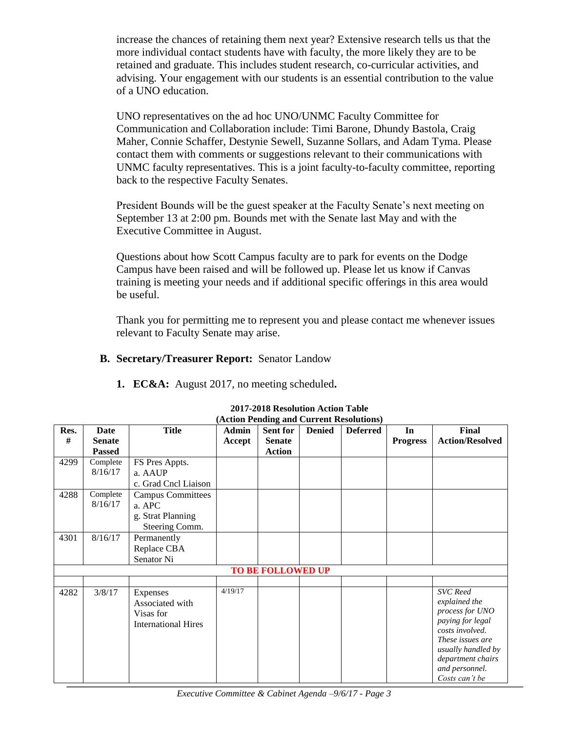increase the chances of retaining them next year? Extensive research tells us that the more individual contact students have with faculty, the more likely they are to be retained and graduate. This includes student research, co-curricular activities, and advising. Your engagement with our students is an essential contribution to the value of a UNO education.

UNO representatives on the ad hoc UNO/UNMC Faculty Committee for Communication and Collaboration include: Timi Barone, Dhundy Bastola, Craig Maher, Connie Schaffer, Destynie Sewell, Suzanne Sollars, and Adam Tyma. Please contact them with comments or suggestions relevant to their communications with UNMC faculty representatives. This is a joint faculty-to-faculty committee, reporting back to the respective Faculty Senates.

President Bounds will be the guest speaker at the Faculty Senate's next meeting on September 13 at 2:00 pm. Bounds met with the Senate last May and with the Executive Committee in August.

Questions about how Scott Campus faculty are to park for events on the Dodge Campus have been raised and will be followed up. Please let us know if Canvas training is meeting your needs and if additional specific offerings in this area would be useful.

Thank you for permitting me to represent you and please contact me whenever issues relevant to Faculty Senate may arise.

#### **B. Secretary/Treasurer Report:** Senator Landow

**1. EC&A:** August 2017, no meeting scheduled**.**

| Res. | Date                     | <b>Title</b>               | <b>Admin</b> | Sent for      | <b>Denied</b> | <b>Deferred</b> | In              | <b>Final</b>                        |
|------|--------------------------|----------------------------|--------------|---------------|---------------|-----------------|-----------------|-------------------------------------|
| #    | <b>Senate</b>            |                            | Accept       | <b>Senate</b> |               |                 | <b>Progress</b> | <b>Action/Resolved</b>              |
|      | <b>Passed</b>            |                            |              | <b>Action</b> |               |                 |                 |                                     |
| 4299 | Complete                 | FS Pres Appts.             |              |               |               |                 |                 |                                     |
|      | 8/16/17                  | a. AAUP                    |              |               |               |                 |                 |                                     |
|      |                          | c. Grad Cncl Liaison       |              |               |               |                 |                 |                                     |
| 4288 | Complete                 | <b>Campus Committees</b>   |              |               |               |                 |                 |                                     |
|      | 8/16/17                  | a. APC                     |              |               |               |                 |                 |                                     |
|      |                          | g. Strat Planning          |              |               |               |                 |                 |                                     |
|      |                          | Steering Comm.             |              |               |               |                 |                 |                                     |
| 4301 | 8/16/17                  | Permanently                |              |               |               |                 |                 |                                     |
|      |                          | Replace CBA                |              |               |               |                 |                 |                                     |
|      |                          | Senator Ni                 |              |               |               |                 |                 |                                     |
|      | <b>TO BE FOLLOWED UP</b> |                            |              |               |               |                 |                 |                                     |
|      |                          |                            |              |               |               |                 |                 |                                     |
| 4282 | 3/8/17                   | Expenses                   | 4/19/17      |               |               |                 |                 | <b>SVC</b> Reed                     |
|      |                          | Associated with            |              |               |               |                 |                 | explained the                       |
|      |                          | Visas for                  |              |               |               |                 |                 | process for UNO                     |
|      |                          | <b>International Hires</b> |              |               |               |                 |                 | paying for legal<br>costs involved. |
|      |                          |                            |              |               |               |                 |                 | These issues are                    |
|      |                          |                            |              |               |               |                 |                 | usually handled by                  |
|      |                          |                            |              |               |               |                 |                 | department chairs                   |
|      |                          |                            |              |               |               |                 |                 | and personnel.                      |
|      |                          |                            |              |               |               |                 |                 | Costs can't be                      |

#### **2017-2018 Resolution Action Table (Action Pending and Current Resolutions)**

*Executive Committee & Cabinet Agenda –9/6/17 - Page 3*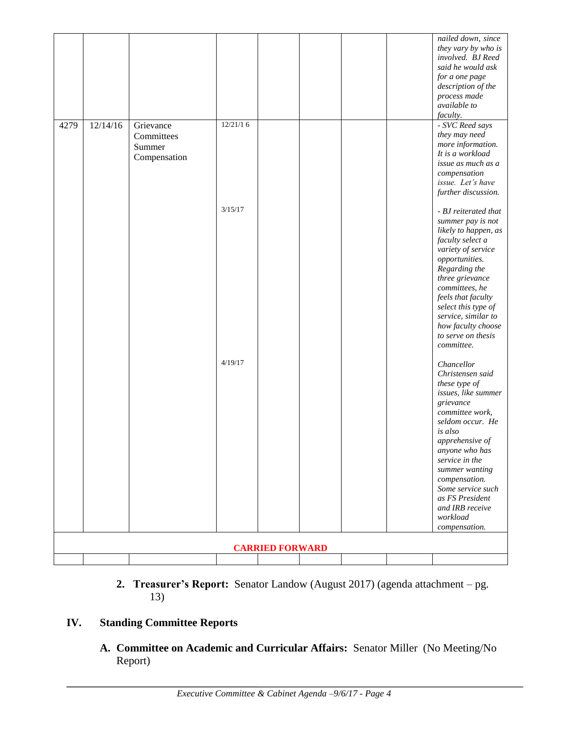|      |          |              |          |                        |  |  | nailed down, since<br>they vary by who is<br>involved. BJ Reed |
|------|----------|--------------|----------|------------------------|--|--|----------------------------------------------------------------|
|      |          |              |          |                        |  |  | said he would ask                                              |
|      |          |              |          |                        |  |  | for a one page                                                 |
|      |          |              |          |                        |  |  | description of the                                             |
|      |          |              |          |                        |  |  | process made<br>available to                                   |
|      |          |              |          |                        |  |  | faculty.                                                       |
| 4279 | 12/14/16 | Grievance    | 12/21/16 |                        |  |  | - SVC Reed says                                                |
|      |          | Committees   |          |                        |  |  | they may need                                                  |
|      |          | Summer       |          |                        |  |  | more information.<br>It is a workload                          |
|      |          | Compensation |          |                        |  |  | issue as much as a                                             |
|      |          |              |          |                        |  |  | compensation                                                   |
|      |          |              |          |                        |  |  | issue. Let's have                                              |
|      |          |              |          |                        |  |  | further discussion.                                            |
|      |          |              | 3/15/17  |                        |  |  | - BJ reiterated that                                           |
|      |          |              |          |                        |  |  | summer pay is not                                              |
|      |          |              |          |                        |  |  | likely to happen, as<br>faculty select a                       |
|      |          |              |          |                        |  |  | variety of service                                             |
|      |          |              |          |                        |  |  | opportunities.                                                 |
|      |          |              |          |                        |  |  | Regarding the                                                  |
|      |          |              |          |                        |  |  | three grievance<br>committees, he                              |
|      |          |              |          |                        |  |  | feels that faculty                                             |
|      |          |              |          |                        |  |  | select this type of                                            |
|      |          |              |          |                        |  |  | service, similar to                                            |
|      |          |              |          |                        |  |  | how faculty choose<br>to serve on thesis                       |
|      |          |              |          |                        |  |  | committee.                                                     |
|      |          |              | 4/19/17  |                        |  |  |                                                                |
|      |          |              |          |                        |  |  | Chancellor<br>Christensen said                                 |
|      |          |              |          |                        |  |  | these type of                                                  |
|      |          |              |          |                        |  |  | issues, like summer                                            |
|      |          |              |          |                        |  |  | grievance                                                      |
|      |          |              |          |                        |  |  | committee work,<br>seldom occur. He                            |
|      |          |              |          |                        |  |  | is also                                                        |
|      |          |              |          |                        |  |  | apprehensive of                                                |
|      |          |              |          |                        |  |  | anyone who has                                                 |
|      |          |              |          |                        |  |  | service in the<br>summer wanting                               |
|      |          |              |          |                        |  |  | compensation.                                                  |
|      |          |              |          |                        |  |  | Some service such                                              |
|      |          |              |          |                        |  |  | as FS President                                                |
|      |          |              |          |                        |  |  | and IRB receive<br>workload                                    |
|      |          |              |          |                        |  |  | compensation.                                                  |
|      |          |              |          |                        |  |  |                                                                |
|      |          |              |          | <b>CARRIED FORWARD</b> |  |  |                                                                |
|      |          |              |          |                        |  |  |                                                                |

**2. Treasurer's Report:** Senator Landow (August 2017) (agenda attachment – pg. 13)

## **IV. Standing Committee Reports**

**A. Committee on Academic and Curricular Affairs:** Senator Miller (No Meeting/No Report)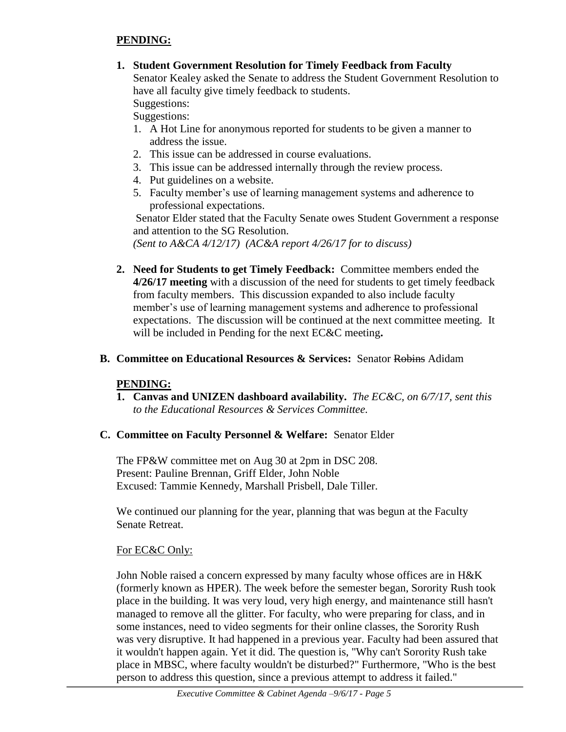### **PENDING:**

**1. Student Government Resolution for Timely Feedback from Faculty**

Senator Kealey asked the Senate to address the Student Government Resolution to have all faculty give timely feedback to students.

Suggestions: Suggestions:

- 1. A Hot Line for anonymous reported for students to be given a manner to address the issue.
- 2. This issue can be addressed in course evaluations.
- 3. This issue can be addressed internally through the review process.
- 4. Put guidelines on a website.
- 5. Faculty member's use of learning management systems and adherence to professional expectations.

Senator Elder stated that the Faculty Senate owes Student Government a response and attention to the SG Resolution.

*(Sent to A&CA 4/12/17) (AC&A report 4/26/17 for to discuss)*

- **2. Need for Students to get Timely Feedback:** Committee members ended the **4/26/17 meeting** with a discussion of the need for students to get timely feedback from faculty members. This discussion expanded to also include faculty member's use of learning management systems and adherence to professional expectations. The discussion will be continued at the next committee meeting. It will be included in Pending for the next EC&C meeting**.**
- **B. Committee on Educational Resources & Services:** Senator Robins Adidam

### **PENDING:**

**1. Canvas and UNIZEN dashboard availability.** *The EC&C, on 6/7/17, sent this to the Educational Resources & Services Committee.*

### **C. Committee on Faculty Personnel & Welfare:** Senator Elder

The FP&W committee met on Aug 30 at 2pm in DSC 208. Present: Pauline Brennan, Griff Elder, John Noble Excused: Tammie Kennedy, Marshall Prisbell, Dale Tiller.

We continued our planning for the year, planning that was begun at the Faculty Senate Retreat.

### For EC&C Only:

John Noble raised a concern expressed by many faculty whose offices are in H&K (formerly known as HPER). The week before the semester began, Sorority Rush took place in the building. It was very loud, very high energy, and maintenance still hasn't managed to remove all the glitter. For faculty, who were preparing for class, and in some instances, need to video segments for their online classes, the Sorority Rush was very disruptive. It had happened in a previous year. Faculty had been assured that it wouldn't happen again. Yet it did. The question is, "Why can't Sorority Rush take place in MBSC, where faculty wouldn't be disturbed?" Furthermore, "Who is the best person to address this question, since a previous attempt to address it failed."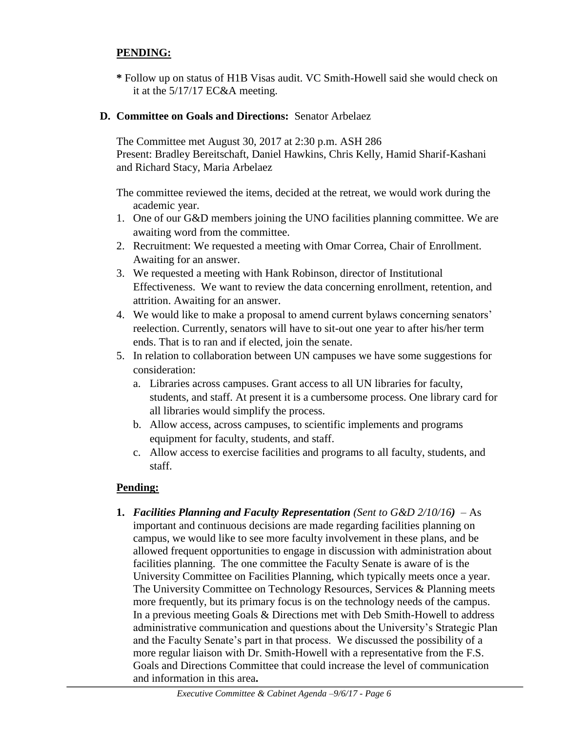### **PENDING:**

**\*** Follow up on status of H1B Visas audit. VC Smith-Howell said she would check on it at the 5/17/17 EC&A meeting.

#### **D. Committee on Goals and Directions:** Senator Arbelaez

The Committee met August 30, 2017 at 2:30 p.m. ASH 286 Present: Bradley Bereitschaft, Daniel Hawkins, Chris Kelly, Hamid Sharif-Kashani and Richard Stacy, Maria Arbelaez

The committee reviewed the items, decided at the retreat, we would work during the academic year.

- 1. One of our G&D members joining the UNO facilities planning committee. We are awaiting word from the committee.
- 2. Recruitment: We requested a meeting with Omar Correa, Chair of Enrollment. Awaiting for an answer.
- 3. We requested a meeting with Hank Robinson, director of Institutional Effectiveness. We want to review the data concerning enrollment, retention, and attrition. Awaiting for an answer.
- 4. We would like to make a proposal to amend current bylaws concerning senators' reelection. Currently, senators will have to sit-out one year to after his/her term ends. That is to ran and if elected, join the senate.
- 5. In relation to collaboration between UN campuses we have some suggestions for consideration:
	- a. Libraries across campuses. Grant access to all UN libraries for faculty, students, and staff. At present it is a cumbersome process. One library card for all libraries would simplify the process.
	- b. Allow access, across campuses, to scientific implements and programs equipment for faculty, students, and staff.
	- c. Allow access to exercise facilities and programs to all faculty, students, and staff.

#### **Pending:**

**1.** *Facilities Planning and Faculty Representation (Sent to G&D 2/10/16)*– As important and continuous decisions are made regarding facilities planning on campus, we would like to see more faculty involvement in these plans, and be allowed frequent opportunities to engage in discussion with administration about facilities planning. The one committee the Faculty Senate is aware of is the University Committee on Facilities Planning, which typically meets once a year. The University Committee on Technology Resources, Services & Planning meets more frequently, but its primary focus is on the technology needs of the campus. In a previous meeting Goals & Directions met with Deb Smith-Howell to address administrative communication and questions about the University's Strategic Plan and the Faculty Senate's part in that process. We discussed the possibility of a more regular liaison with Dr. Smith-Howell with a representative from the F.S. Goals and Directions Committee that could increase the level of communication and information in this area**.**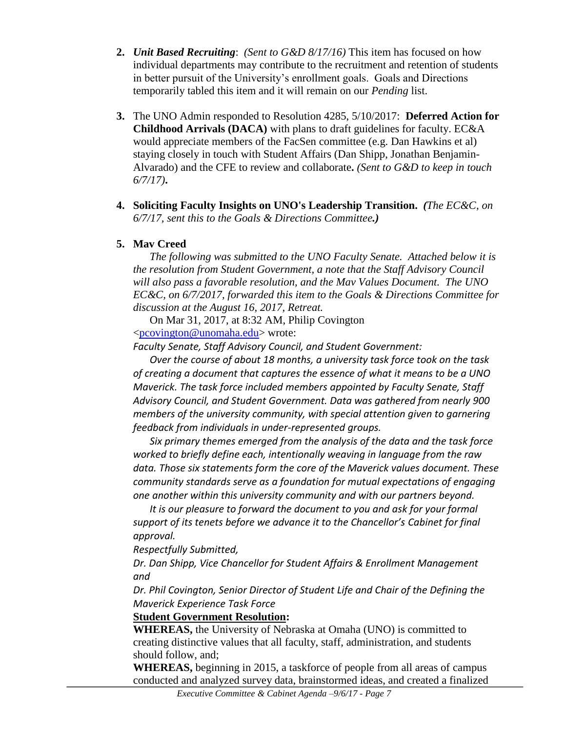- **2.** *Unit Based Recruiting*: *(Sent to G&D 8/17/16)* This item has focused on how individual departments may contribute to the recruitment and retention of students in better pursuit of the University's enrollment goals. Goals and Directions temporarily tabled this item and it will remain on our *Pending* list.
- **3.** The UNO Admin responded to Resolution 4285, 5/10/2017: **Deferred Action for Childhood Arrivals (DACA)** with plans to draft guidelines for faculty. EC&A would appreciate members of the FacSen committee (e.g. Dan Hawkins et al) staying closely in touch with Student Affairs (Dan Shipp, Jonathan Benjamin-Alvarado) and the CFE to review and collaborate**.** *(Sent to G&D to keep in touch 6/7/17)***.**
- **4. Soliciting Faculty Insights on UNO's Leadership Transition.** *(The EC&C, on 6/7/17, sent this to the Goals & Directions Committee.)*

### **5. Mav Creed**

*The following was submitted to the UNO Faculty Senate. Attached below it is the resolution from Student Government, a note that the Staff Advisory Council will also pass a favorable resolution, and the Mav Values Document. The UNO EC&C, on 6/7/2017, forwarded this item to the Goals & Directions Committee for discussion at the August 16, 2017, Retreat.*

On Mar 31, 2017, at 8:32 AM, Philip Covington

[<pcovington@unomaha.edu>](mailto:pcovington@unomaha.edu) wrote:

*Faculty Senate, Staff Advisory Council, and Student Government:*

*Over the course of about 18 months, a university task force took on the task of creating a document that captures the essence of what it means to be a UNO Maverick. The task force included members appointed by Faculty Senate, Staff Advisory Council, and Student Government. Data was gathered from nearly 900 members of the university community, with special attention given to garnering feedback from individuals in under-represented groups.*

*Six primary themes emerged from the analysis of the data and the task force worked to briefly define each, intentionally weaving in language from the raw data. Those six statements form the core of the Maverick values document. These community standards serve as a foundation for mutual expectations of engaging one another within this university community and with our partners beyond.*

*It is our pleasure to forward the document to you and ask for your formal support of its tenets before we advance it to the Chancellor's Cabinet for final approval.*

*Respectfully Submitted,*

*Dr. Dan Shipp, Vice Chancellor for Student Affairs & Enrollment Management and*

*Dr. Phil Covington, Senior Director of Student Life and Chair of the Defining the Maverick Experience Task Force*

### **Student Government Resolution:**

**WHEREAS,** the University of Nebraska at Omaha (UNO) is committed to creating distinctive values that all faculty, staff, administration, and students should follow, and;

**WHEREAS,** beginning in 2015, a taskforce of people from all areas of campus conducted and analyzed survey data, brainstormed ideas, and created a finalized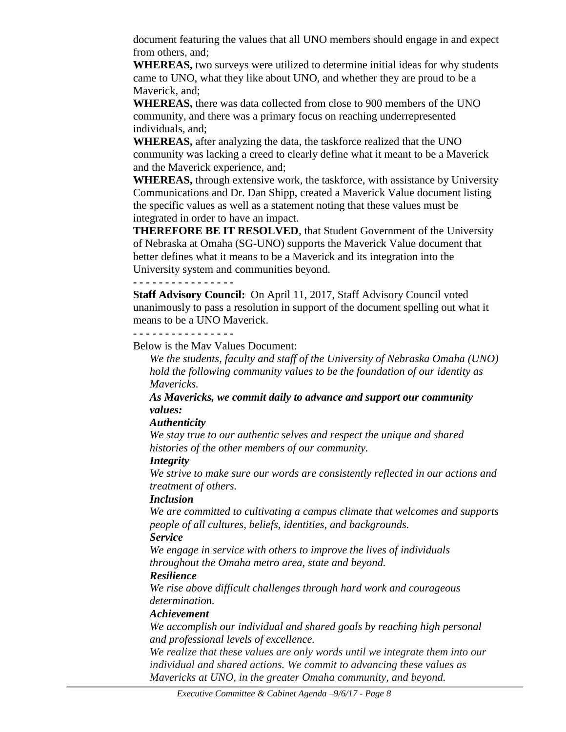document featuring the values that all UNO members should engage in and expect from others, and;

**WHEREAS,** two surveys were utilized to determine initial ideas for why students came to UNO, what they like about UNO, and whether they are proud to be a Maverick, and;

**WHEREAS,** there was data collected from close to 900 members of the UNO community, and there was a primary focus on reaching underrepresented individuals, and;

**WHEREAS,** after analyzing the data, the taskforce realized that the UNO community was lacking a creed to clearly define what it meant to be a Maverick and the Maverick experience, and;

**WHEREAS,** through extensive work, the taskforce, with assistance by University Communications and Dr. Dan Shipp, created a Maverick Value document listing the specific values as well as a statement noting that these values must be integrated in order to have an impact.

**THEREFORE BE IT RESOLVED**, that Student Government of the University of Nebraska at Omaha (SG-UNO) supports the Maverick Value document that better defines what it means to be a Maverick and its integration into the University system and communities beyond.

**- - - - - - - - - - - - - - - -**

**Staff Advisory Council:** On April 11, 2017, Staff Advisory Council voted unanimously to pass a resolution in support of the document spelling out what it means to be a UNO Maverick.

**- - - - - - - - - - - - - - - -**

Below is the Mav Values Document:

*We the students, faculty and staff of the University of Nebraska Omaha (UNO) hold the following community values to be the foundation of our identity as Mavericks.*

*As Mavericks, we commit daily to advance and support our community values:*

#### *Authenticity*

*We stay true to our authentic selves and respect the unique and shared histories of the other members of our community.*

#### *Integrity*

*We strive to make sure our words are consistently reflected in our actions and treatment of others.*

### *Inclusion*

*We are committed to cultivating a campus climate that welcomes and supports people of all cultures, beliefs, identities, and backgrounds.*

#### *Service*

*We engage in service with others to improve the lives of individuals throughout the Omaha metro area, state and beyond.* 

### *Resilience*

*We rise above difficult challenges through hard work and courageous determination.* 

#### *Achievement*

*We accomplish our individual and shared goals by reaching high personal and professional levels of excellence.*

*We realize that these values are only words until we integrate them into our individual and shared actions. We commit to advancing these values as Mavericks at UNO, in the greater Omaha community, and beyond.*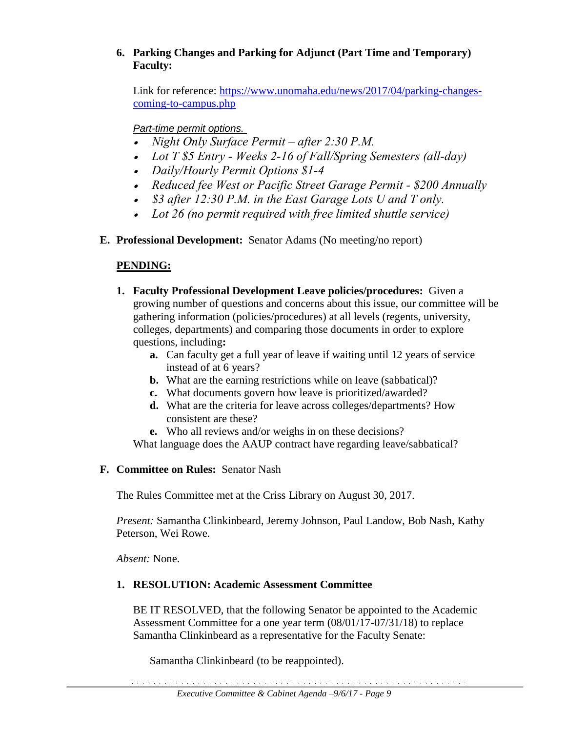### **6. Parking Changes and Parking for Adjunct (Part Time and Temporary) Faculty:**

Link for reference: [https://www.unomaha.edu/news/2017/04/parking-changes](https://www.unomaha.edu/news/2017/04/parking-changes-coming-to-campus.php)[coming-to-campus.php](https://www.unomaha.edu/news/2017/04/parking-changes-coming-to-campus.php)

### *Part-time permit options.*

- *Night Only Surface Permit – after 2:30 P.M.*
- *Lot T \$5 Entry - Weeks 2-16 of Fall/Spring Semesters (all-day)*
- *Daily/Hourly Permit Options \$1-4*
- *Reduced fee West or Pacific Street Garage Permit - \$200 Annually*
- *\$3 after 12:30 P.M. in the East Garage Lots U and T only.*
- *Lot 26 (no permit required with free limited shuttle service)*
- **E. Professional Development:** Senator Adams (No meeting/no report)

### **PENDING:**

- **1. Faculty Professional Development Leave policies/procedures:** Given a growing number of questions and concerns about this issue, our committee will be gathering information (policies/procedures) at all levels (regents, university, colleges, departments) and comparing those documents in order to explore questions, including**:** 
	- **a.** Can faculty get a full year of leave if waiting until 12 years of service instead of at 6 years?
	- **b.** What are the earning restrictions while on leave (sabbatical)?
	- **c.** What documents govern how leave is prioritized/awarded?
	- **d.** What are the criteria for leave across colleges/departments? How consistent are these?
	- **e.** Who all reviews and/or weighs in on these decisions?

What language does the AAUP contract have regarding leave/sabbatical?

### **F. Committee on Rules:** Senator Nash

The Rules Committee met at the Criss Library on August 30, 2017.

*Present:* Samantha Clinkinbeard, Jeremy Johnson, Paul Landow, Bob Nash, Kathy Peterson, Wei Rowe.

*Absent:* None.

### **1. RESOLUTION: Academic Assessment Committee**

BE IT RESOLVED, that the following Senator be appointed to the Academic Assessment Committee for a one year term (08/01/17-07/31/18) to replace Samantha Clinkinbeard as a representative for the Faculty Senate:

Samantha Clinkinbeard (to be reappointed).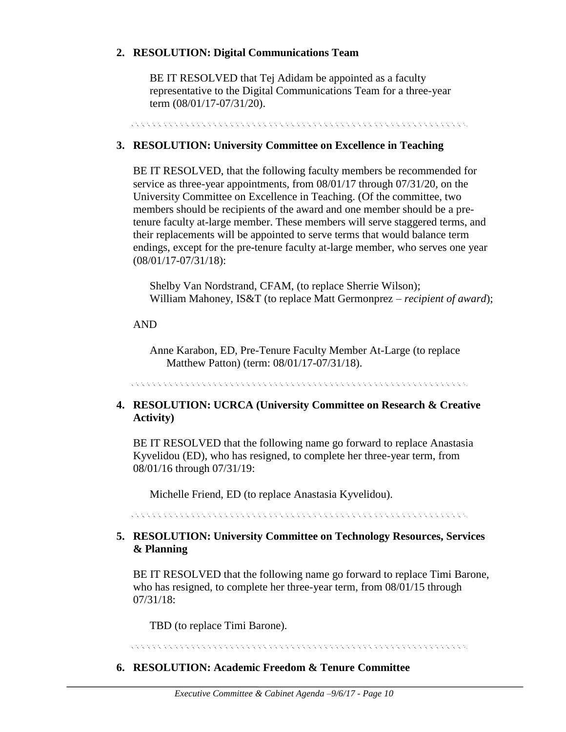#### **2. RESOLUTION: Digital Communications Team**

BE IT RESOLVED that Tej Adidam be appointed as a faculty representative to the Digital Communications Team for a three-year term (08/01/17-07/31/20).

rent and the sense of the sense of the sense of the sense of the sense of the sense of the sense of the sense of

#### **3. RESOLUTION: University Committee on Excellence in Teaching**

BE IT RESOLVED, that the following faculty members be recommended for service as three-year appointments, from 08/01/17 through 07/31/20, on the University Committee on Excellence in Teaching. (Of the committee, two members should be recipients of the award and one member should be a pretenure faculty at-large member. These members will serve staggered terms, and their replacements will be appointed to serve terms that would balance term endings, except for the pre-tenure faculty at-large member, who serves one year (08/01/17-07/31/18):

Shelby Van Nordstrand, CFAM, (to replace Sherrie Wilson); William Mahoney, IS&T (to replace Matt Germonprez – *recipient of award*);

#### AND

Anne Karabon, ED, Pre-Tenure Faculty Member At-Large (to replace Matthew Patton) (term: 08/01/17-07/31/18).

. The contract of the contract of the contract of the contract of the contract of the contract of the contract

#### **4. RESOLUTION: UCRCA (University Committee on Research & Creative Activity)**

BE IT RESOLVED that the following name go forward to replace Anastasia Kyvelidou (ED), who has resigned, to complete her three-year term, from 08/01/16 through 07/31/19:

Michelle Friend, ED (to replace Anastasia Kyvelidou).

#### **5. RESOLUTION: University Committee on Technology Resources, Services & Planning**

BE IT RESOLVED that the following name go forward to replace Timi Barone, who has resigned, to complete her three-year term, from  $08/01/15$  through 07/31/18:

TBD (to replace Timi Barone).

. A construction of the construction of the construction of the construction of the construction of the construction

#### **6. RESOLUTION: Academic Freedom & Tenure Committee**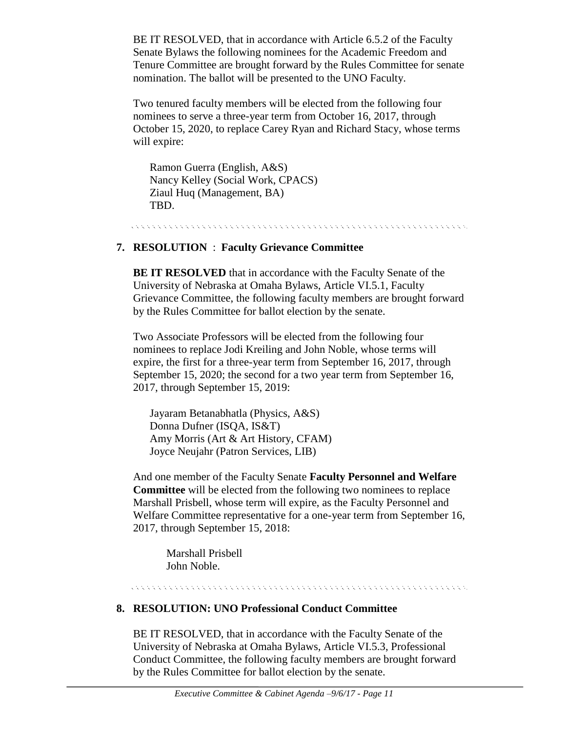BE IT RESOLVED, that in accordance with Article 6.5.2 of the Faculty Senate Bylaws the following nominees for the Academic Freedom and Tenure Committee are brought forward by the Rules Committee for senate nomination. The ballot will be presented to the UNO Faculty.

Two tenured faculty members will be elected from the following four nominees to serve a three-year term from October 16, 2017, through October 15, 2020, to replace Carey Ryan and Richard Stacy, whose terms will expire:

Ramon Guerra (English, A&S) Nancy Kelley (Social Work, CPACS) Ziaul Huq (Management, BA) TBD.

#### **7. RESOLUTION** : **Faculty Grievance Committee**

**BE IT RESOLVED** that in accordance with the Faculty Senate of the University of Nebraska at Omaha Bylaws, Article VI.5.1, Faculty Grievance Committee, the following faculty members are brought forward by the Rules Committee for ballot election by the senate.

Two Associate Professors will be elected from the following four nominees to replace Jodi Kreiling and John Noble, whose terms will expire, the first for a three-year term from September 16, 2017, through September 15, 2020; the second for a two year term from September 16, 2017, through September 15, 2019:

Jayaram Betanabhatla (Physics, A&S) Donna Dufner (ISQA, IS&T) Amy Morris (Art & Art History, CFAM) Joyce Neujahr (Patron Services, LIB)

And one member of the Faculty Senate **Faculty Personnel and Welfare Committee** will be elected from the following two nominees to replace Marshall Prisbell, whose term will expire, as the Faculty Personnel and Welfare Committee representative for a one-year term from September 16, 2017, through September 15, 2018:

Marshall Prisbell John Noble.

#### . A concert and a concert and a concert and a concert and a concert and a concert and a concert and a concert

#### **8. RESOLUTION: UNO Professional Conduct Committee**

BE IT RESOLVED, that in accordance with the Faculty Senate of the University of Nebraska at Omaha Bylaws, Article VI.5.3, Professional Conduct Committee, the following faculty members are brought forward by the Rules Committee for ballot election by the senate.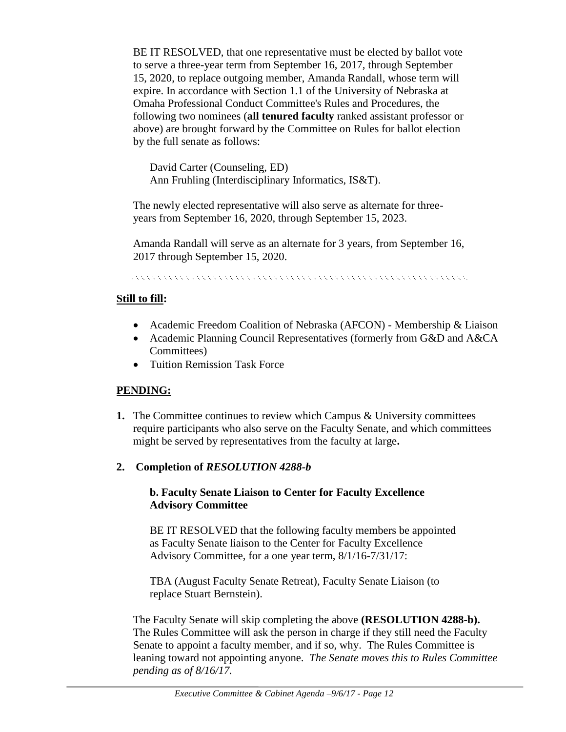BE IT RESOLVED, that one representative must be elected by ballot vote to serve a three-year term from September 16, 2017, through September 15, 2020, to replace outgoing member, Amanda Randall, whose term will expire. In accordance with Section 1.1 of the University of Nebraska at Omaha Professional Conduct Committee's Rules and Procedures, the following two nominees (**all tenured faculty** ranked assistant professor or above) are brought forward by the Committee on Rules for ballot election by the full senate as follows:

David Carter (Counseling, ED) Ann Fruhling (Interdisciplinary Informatics, IS&T).

The newly elected representative will also serve as alternate for threeyears from September 16, 2020, through September 15, 2023.

Amanda Randall will serve as an alternate for 3 years, from September 16, 2017 through September 15, 2020.

#### **Still to fill:**

- Academic Freedom Coalition of Nebraska (AFCON) Membership & Liaison
- Academic Planning Council Representatives (formerly from G&D and A&CA Committees)
- Tuition Remission Task Force

### **PENDING:**

- **1.** The Committee continues to review which Campus & University committees require participants who also serve on the Faculty Senate, and which committees might be served by representatives from the faculty at large**.**
- **2. Completion of** *RESOLUTION 4288-b*

#### **b. Faculty Senate Liaison to Center for Faculty Excellence Advisory Committee**

BE IT RESOLVED that the following faculty members be appointed as Faculty Senate liaison to the Center for Faculty Excellence Advisory Committee, for a one year term, 8/1/16-7/31/17:

TBA (August Faculty Senate Retreat), Faculty Senate Liaison (to replace Stuart Bernstein).

The Faculty Senate will skip completing the above **(RESOLUTION 4288-b).**  The Rules Committee will ask the person in charge if they still need the Faculty Senate to appoint a faculty member, and if so, why. The Rules Committee is leaning toward not appointing anyone. *The Senate moves this to Rules Committee pending as of 8/16/17.*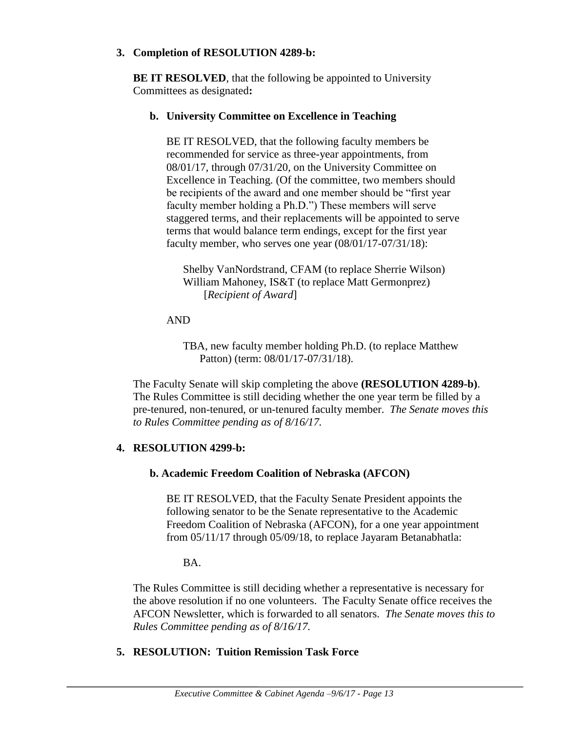#### **3. Completion of RESOLUTION 4289-b:**

**BE IT RESOLVED**, that the following be appointed to University Committees as designated**:** 

#### **b. University Committee on Excellence in Teaching**

BE IT RESOLVED, that the following faculty members be recommended for service as three-year appointments, from 08/01/17, through 07/31/20, on the University Committee on Excellence in Teaching. (Of the committee, two members should be recipients of the award and one member should be "first year faculty member holding a Ph.D.") These members will serve staggered terms, and their replacements will be appointed to serve terms that would balance term endings, except for the first year faculty member, who serves one year (08/01/17-07/31/18):

Shelby VanNordstrand, CFAM (to replace Sherrie Wilson) William Mahoney, IS&T (to replace Matt Germonprez) [*Recipient of Award*]

AND

TBA, new faculty member holding Ph.D. (to replace Matthew Patton) (term: 08/01/17-07/31/18).

The Faculty Senate will skip completing the above **(RESOLUTION 4289-b)**. The Rules Committee is still deciding whether the one year term be filled by a pre-tenured, non-tenured, or un-tenured faculty member. *The Senate moves this to Rules Committee pending as of 8/16/17.*

#### **4. RESOLUTION 4299-b:**

#### **b. Academic Freedom Coalition of Nebraska (AFCON)**

BE IT RESOLVED, that the Faculty Senate President appoints the following senator to be the Senate representative to the Academic Freedom Coalition of Nebraska (AFCON), for a one year appointment from 05/11/17 through 05/09/18, to replace Jayaram Betanabhatla:

BA.

The Rules Committee is still deciding whether a representative is necessary for the above resolution if no one volunteers. The Faculty Senate office receives the AFCON Newsletter, which is forwarded to all senators. *The Senate moves this to Rules Committee pending as of 8/16/17.*

#### **5. RESOLUTION: Tuition Remission Task Force**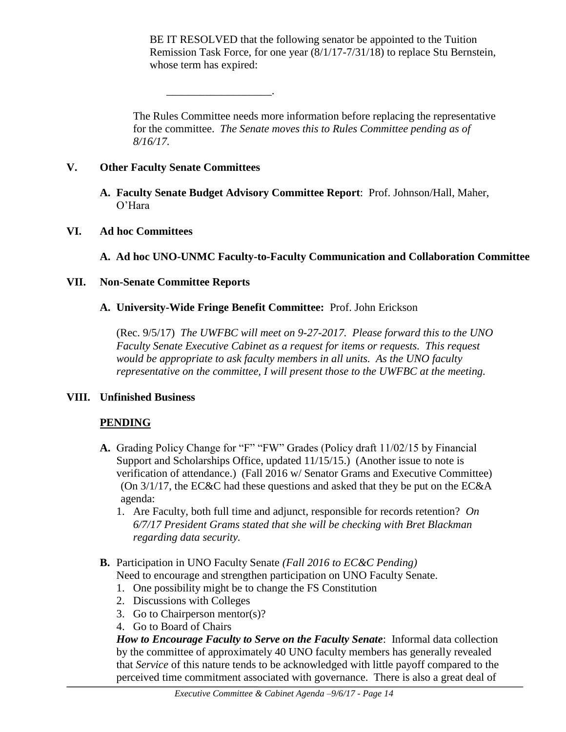BE IT RESOLVED that the following senator be appointed to the Tuition Remission Task Force, for one year (8/1/17-7/31/18) to replace Stu Bernstein, whose term has expired:

The Rules Committee needs more information before replacing the representative for the committee. *The Senate moves this to Rules Committee pending as of 8/16/17.*

### **V. Other Faculty Senate Committees**

\_\_\_\_\_\_\_\_\_\_\_\_\_\_\_\_\_\_\_.

**A. Faculty Senate Budget Advisory Committee Report**: Prof. Johnson/Hall, Maher, O'Hara

### **VI. Ad hoc Committees**

**A. Ad hoc UNO-UNMC Faculty-to-Faculty Communication and Collaboration Committee**

### **VII. Non-Senate Committee Reports**

**A. University-Wide Fringe Benefit Committee:** Prof. John Erickson

(Rec. 9/5/17) *The UWFBC will meet on 9-27-2017. Please forward this to the UNO Faculty Senate Executive Cabinet as a request for items or requests. This request would be appropriate to ask faculty members in all units. As the UNO faculty representative on the committee, I will present those to the UWFBC at the meeting.* 

### **VIII. Unfinished Business**

### **PENDING**

- **A.** Grading Policy Change for "F" "FW" Grades (Policy draft 11/02/15 by Financial Support and Scholarships Office, updated 11/15/15.) (Another issue to note is verification of attendance.) (Fall 2016 w/ Senator Grams and Executive Committee) (On 3/1/17, the EC&C had these questions and asked that they be put on the EC&A agenda:
	- 1. Are Faculty, both full time and adjunct, responsible for records retention? *On 6/7/17 President Grams stated that she will be checking with Bret Blackman regarding data security.*
- **B.** Participation in UNO Faculty Senate *(Fall 2016 to EC&C Pending)* Need to encourage and strengthen participation on UNO Faculty Senate.
	- 1. One possibility might be to change the FS Constitution
	- 2. Discussions with Colleges
	- 3. Go to Chairperson mentor(s)?
	- 4. Go to Board of Chairs

*How to Encourage Faculty to Serve on the Faculty Senate*: Informal data collection by the committee of approximately 40 UNO faculty members has generally revealed that *Service* of this nature tends to be acknowledged with little payoff compared to the perceived time commitment associated with governance. There is also a great deal of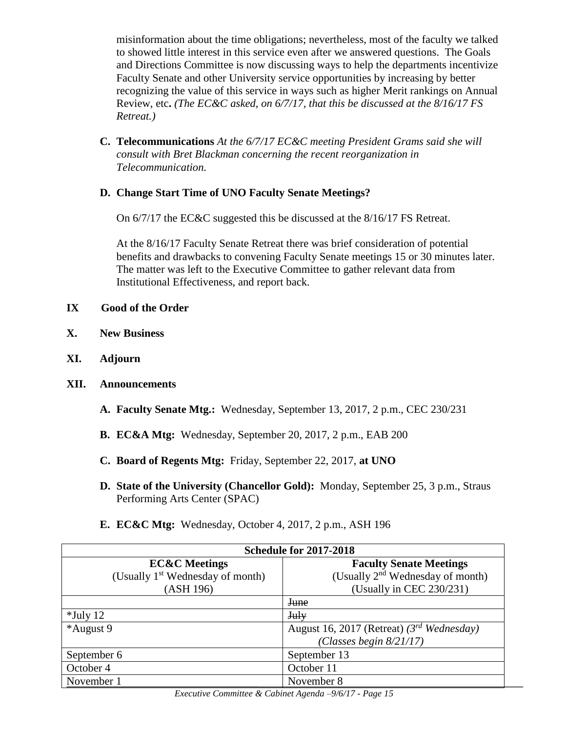misinformation about the time obligations; nevertheless, most of the faculty we talked to showed little interest in this service even after we answered questions. The Goals and Directions Committee is now discussing ways to help the departments incentivize Faculty Senate and other University service opportunities by increasing by better recognizing the value of this service in ways such as higher Merit rankings on Annual Review, etc**.** *(The EC&C asked, on 6/7/17, that this be discussed at the 8/16/17 FS Retreat.)*

**C. Telecommunications** *At the 6/7/17 EC&C meeting President Grams said she will consult with Bret Blackman concerning the recent reorganization in Telecommunication.*

### **D. Change Start Time of UNO Faculty Senate Meetings?**

On 6/7/17 the EC&C suggested this be discussed at the 8/16/17 FS Retreat.

At the 8/16/17 Faculty Senate Retreat there was brief consideration of potential benefits and drawbacks to convening Faculty Senate meetings 15 or 30 minutes later. The matter was left to the Executive Committee to gather relevant data from Institutional Effectiveness, and report back.

- **IX Good of the Order**
- **X. New Business**
- **XI. Adjourn**
- **XII. Announcements**
	- **A. Faculty Senate Mtg.:** Wednesday, September 13, 2017, 2 p.m., CEC 230/231
	- **B. EC&A Mtg:** Wednesday, September 20, 2017, 2 p.m., EAB 200
	- **C. Board of Regents Mtg:** Friday, September 22, 2017, **at UNO**
	- **D. State of the University (Chancellor Gold):** Monday, September 25, 3 p.m., Straus Performing Arts Center (SPAC)
	- **E. EC&C Mtg:** Wednesday, October 4, 2017, 2 p.m., ASH 196

| <b>Schedule for 2017-2018</b>                |                                                |  |  |
|----------------------------------------------|------------------------------------------------|--|--|
| <b>EC&amp;C</b> Meetings                     | <b>Faculty Senate Meetings</b>                 |  |  |
| (Usually 1 <sup>st</sup> Wednesday of month) | (Usually 2 <sup>nd</sup> Wednesday of month)   |  |  |
| (ASH 196)                                    | (Usually in CEC 230/231)                       |  |  |
|                                              | <b>June</b>                                    |  |  |
| $*$ July 12                                  | <b>July</b>                                    |  |  |
| *August 9                                    | August 16, 2017 (Retreat) $(3^{rd}$ Wednesday) |  |  |
|                                              | (Classes begin $8/21/17$ )                     |  |  |
| September 6                                  | September 13                                   |  |  |
| October 4                                    | October 11                                     |  |  |
| November 1                                   | November 8                                     |  |  |